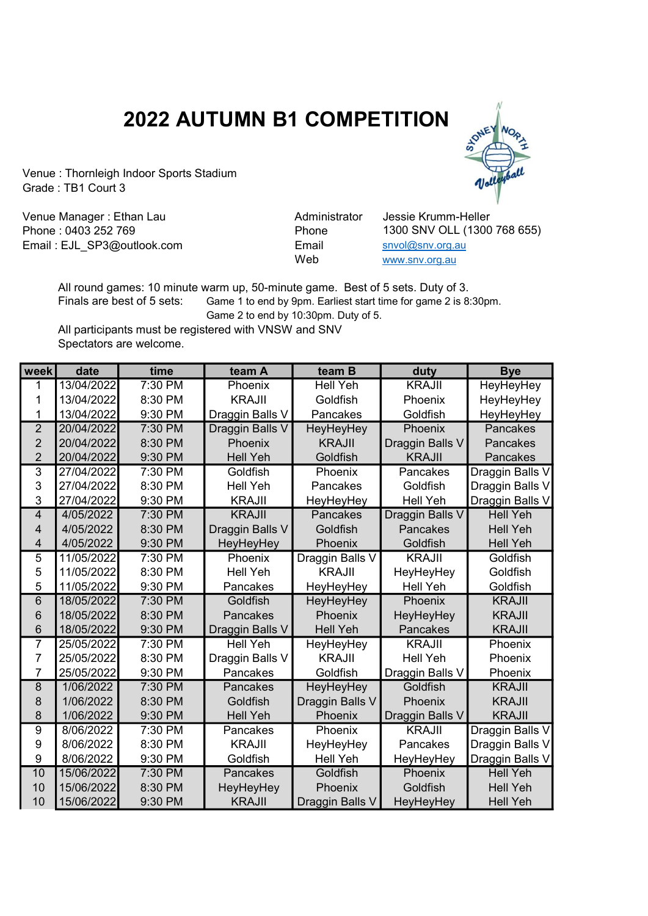## 2022 AUTUMN B1 COMPETITION

Venue : Thornleigh Indoor Sports Stadium Grade : TB1 Court 3

Venue Manager : Ethan Lau Administrator Jessie Krumm-Heller Phone : 0403 252 769 **Phone** Phone 1300 SNV OLL (1300 768 655) Email : EJL\_SP3@outlook.com Email snvol@snv.org.au

Web www.snv.org.au

All round games: 10 minute warm up, 50-minute game. Best of 5 sets. Duty of 3. Finals are best of 5 sets: Game 1 to end by 9pm. Earliest start time for game 2 is 8:30pm. Game 2 to end by 10:30pm. Duty of 5.

All participants must be registered with VNSW and SNV Spectators are welcome.

| week           | date       | time      | team A          | team B           | duty            | <b>Bye</b>      |
|----------------|------------|-----------|-----------------|------------------|-----------------|-----------------|
| 1              | 13/04/2022 | 7:30 PM   | Phoenix         | <b>Hell Yeh</b>  | <b>KRAJII</b>   | HeyHeyHey       |
| 1              | 13/04/2022 | 8:30 PM   | <b>KRAJII</b>   | Goldfish         | Phoenix         | HeyHeyHey       |
| 1              | 13/04/2022 | 9:30 PM   | Draggin Balls V | Pancakes         | Goldfish        | HeyHeyHey       |
| $\overline{2}$ | 20/04/2022 | 7:30 PM   | Draggin Balls V | HeyHeyHey        | Phoenix         | Pancakes        |
| $\overline{2}$ | 20/04/2022 | 8:30 PM   | Phoenix         | <b>KRAJII</b>    | Draggin Balls V | Pancakes        |
| $\overline{2}$ | 20/04/2022 | 9:30 PM   | <b>Hell Yeh</b> | Goldfish         | <b>KRAJII</b>   | Pancakes        |
| $\overline{3}$ | 27/04/2022 | 7:30 PM   | Goldfish        | Phoenix          | Pancakes        | Draggin Balls V |
| 3              | 27/04/2022 | 8:30 PM   | <b>Hell Yeh</b> | Pancakes         | Goldfish        | Draggin Balls V |
| 3              | 27/04/2022 | 9:30 PM   | <b>KRAJII</b>   | HeyHeyHey        | <b>Hell Yeh</b> | Draggin Balls V |
| $\overline{4}$ | 4/05/2022  | 7:30 PM   | <b>KRAJII</b>   | Pancakes         | Draggin Balls V | <b>Hell Yeh</b> |
| 4              | 4/05/2022  | 8:30 PM   | Draggin Balls V | Goldfish         | Pancakes        | <b>Hell Yeh</b> |
| $\overline{4}$ | 4/05/2022  | 9:30 PM   | HeyHeyHey       | Phoenix          | Goldfish        | <b>Hell Yeh</b> |
| $\overline{5}$ | 11/05/2022 | 7:30 PM   | Phoenix         | Draggin Balls V  | <b>KRAJII</b>   | Goldfish        |
| 5              | 11/05/2022 | 8:30 PM   | <b>Hell Yeh</b> | <b>KRAJII</b>    | HeyHeyHey       | Goldfish        |
| 5              | 11/05/2022 | 9:30 PM   | Pancakes        | HeyHeyHey        | <b>Hell Yeh</b> | Goldfish        |
| $\overline{6}$ | 18/05/2022 | $7:30$ PM | Goldfish        | <b>HeyHeyHey</b> | Phoenix         | <b>KRAJII</b>   |
| 6              | 18/05/2022 | 8:30 PM   | Pancakes        | Phoenix          | HeyHeyHey       | <b>KRAJII</b>   |
| 6              | 18/05/2022 | 9:30 PM   | Draggin Balls V | <b>Hell Yeh</b>  | Pancakes        | <b>KRAJII</b>   |
| $\overline{7}$ | 25/05/2022 | 7:30 PM   | <b>Hell Yeh</b> | HeyHeyHey        | <b>KRAJII</b>   | Phoenix         |
| 7              | 25/05/2022 | 8:30 PM   | Draggin Balls V | <b>KRAJII</b>    | <b>Hell Yeh</b> | Phoenix         |
| 7              | 25/05/2022 | 9:30 PM   | Pancakes        | Goldfish         | Draggin Balls V | Phoenix         |
| 8              | 1/06/2022  | 7:30 PM   | Pancakes        | <b>HeyHeyHey</b> | Goldfish        | <b>KRAJII</b>   |
| 8              | 1/06/2022  | 8:30 PM   | Goldfish        | Draggin Balls V  | Phoenix         | <b>KRAJII</b>   |
| 8              | 1/06/2022  | 9:30 PM   | <b>Hell Yeh</b> | Phoenix          | Draggin Balls V | <b>KRAJII</b>   |
| $\overline{9}$ | 8/06/2022  | 7:30 PM   | Pancakes        | Phoenix          | <b>KRAJII</b>   | Draggin Balls V |
| 9              | 8/06/2022  | 8:30 PM   | <b>KRAJII</b>   | HeyHeyHey        | Pancakes        | Draggin Balls V |
| 9              | 8/06/2022  | 9:30 PM   | Goldfish        | Hell Yeh         | HeyHeyHey       | Draggin Balls V |
| 10             | 15/06/2022 | 7:30 PM   | Pancakes        | Goldfish         | Phoenix         | <b>Hell Yeh</b> |
| 10             | 15/06/2022 | 8:30 PM   | HeyHeyHey       | Phoenix          | Goldfish        | <b>Hell Yeh</b> |
| 10             | 15/06/2022 | 9:30 PM   | <b>KRAJII</b>   | Draggin Balls V  | HeyHeyHey       | <b>Hell Yeh</b> |